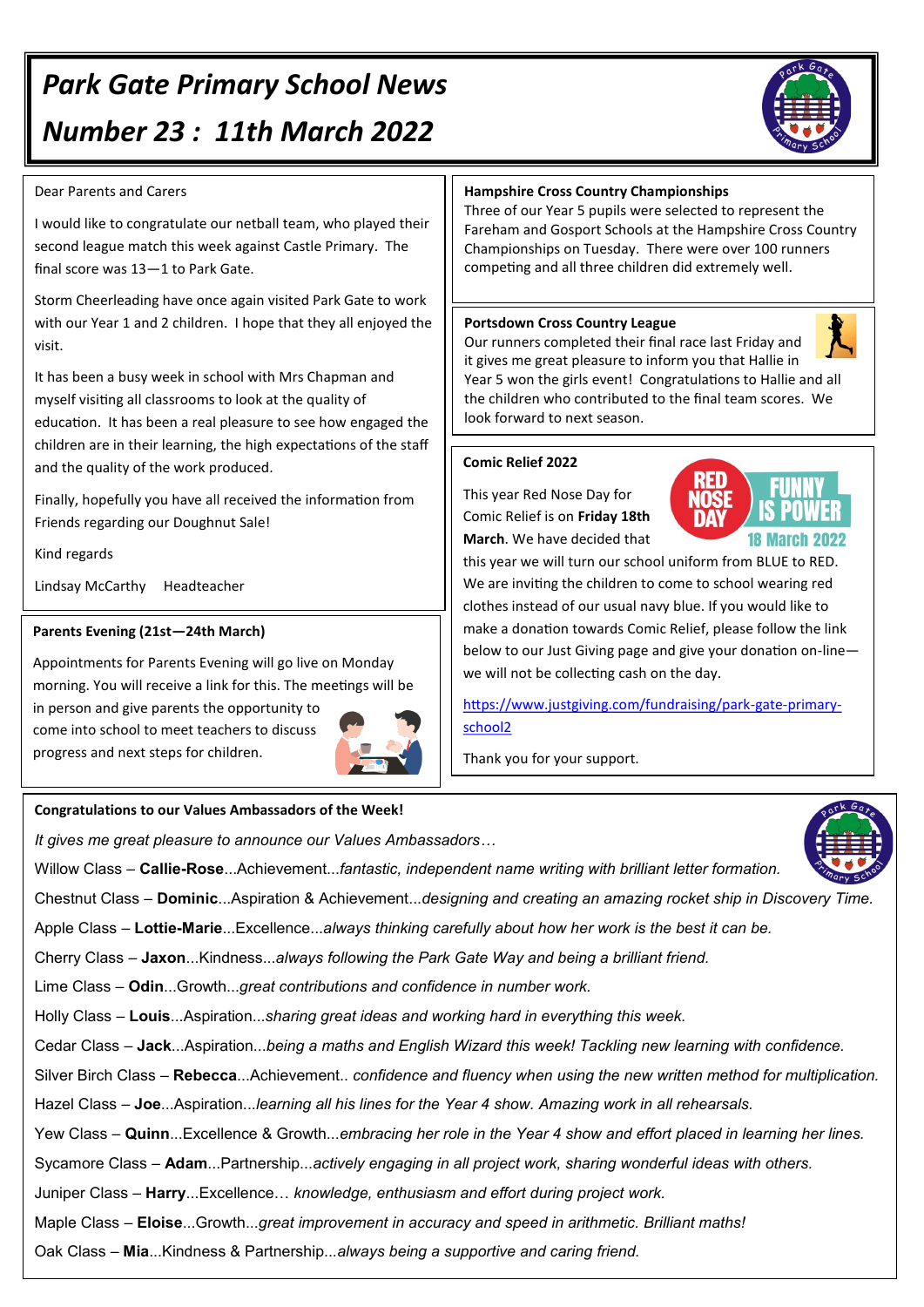# *Park Gate Primary School News Number 23 : 11th March 2022*

### Dear Parents and Carers

I would like to congratulate our netball team, who played their second league match this week against Castle Primary. The final score was 13—1 to Park Gate.

Storm Cheerleading have once again visited Park Gate to work with our Year 1 and 2 children. I hope that they all enjoyed the visit.

It has been a busy week in school with Mrs Chapman and myself visiting all classrooms to look at the quality of education. It has been a real pleasure to see how engaged the children are in their learning, the high expectations of the staff and the quality of the work produced.

Finally, hopefully you have all received the information from Friends regarding our Doughnut Sale!

Kind regards

Lindsay McCarthy Headteacher

#### **Parents Evening (21st—24th March)**

Appointments for Parents Evening will go live on Monday morning. You will receive a link for this. The meetings will be in person and give parents the opportunity to come into school to meet teachers to discuss progress and next steps for children.



#### **Congratulations to our Values Ambassadors of the Week!**

*It gives me great pleasure to announce our Values Ambassadors…*

Willow Class – **Callie-Rose**...Achievement...*fantastic, independent name writing with brilliant letter formation.*

Chestnut Class – **Dominic**...Aspiration & Achievement...*designing and creating an amazing rocket ship in Discovery Time.*

Apple Class – **Lottie-Marie**...Excellence...*always thinking carefully about how her work is the best it can be.*

Cherry Class – **Jaxon**...Kindness...*always following the Park Gate Way and being a brilliant friend.*

Lime Class – **Odin**...Growth...*great contributions and confidence in number work.*

Holly Class – **Louis**...Aspiration...*sharing great ideas and working hard in everything this week.*

Cedar Class – **Jack**...Aspiration...*being a maths and English Wizard this week! Tackling new learning with confidence.*

Silver Birch Class – **Rebecca**...Achievement.. *confidence and fluency when using the new written method for multiplication.*

Hazel Class *–* **Joe**...Aspiration...*learning all his lines for the Year 4 show. Amazing work in all rehearsals.*

Yew Class – **Quinn**...Excellence & Growth...*embracing her role in the Year 4 show and effort placed in learning her lines.*

Sycamore Class – **Adam**...Partnership...*actively engaging in all project work, sharing wonderful ideas with others.*

Juniper Class – **Harry**...Excellence… *knowledge, enthusiasm and effort during project work.*

Maple Class – **Eloise**...Growth...*great improvement in accuracy and speed in arithmetic. Brilliant maths!*

Oak Class – **Mia**...Kindness & Partnership...*always being a supportive and caring friend.*

# **Hampshire Cross Country Championships**

Three of our Year 5 pupils were selected to represent the Fareham and Gosport Schools at the Hampshire Cross Country Championships on Tuesday. There were over 100 runners competing and all three children did extremely well.

#### **Portsdown Cross Country League**

Our runners completed their final race last Friday and it gives me great pleasure to inform you that Hallie in Year 5 won the girls event! Congratulations to Hallie and all the children who contributed to the final team scores. We look forward to next season.

# **Comic Relief 2022**

This year Red Nose Day for Comic Relief is on **Friday 18th March**. We have decided that

this year we will turn our school uniform from BLUE to RED. We are inviting the children to come to school wearing red

clothes instead of our usual navy blue. If you would like to make a donation towards Comic Relief, please follow the link below to our Just Giving page and give your donation on-line we will not be collecting cash on the day.

[https://www.justgiving.com/fundraising/park](https://www.justgiving.com/fundraising/park-gate-primary-school2)-gate-primary[school2](https://www.justgiving.com/fundraising/park-gate-primary-school2)

Thank you for your support.